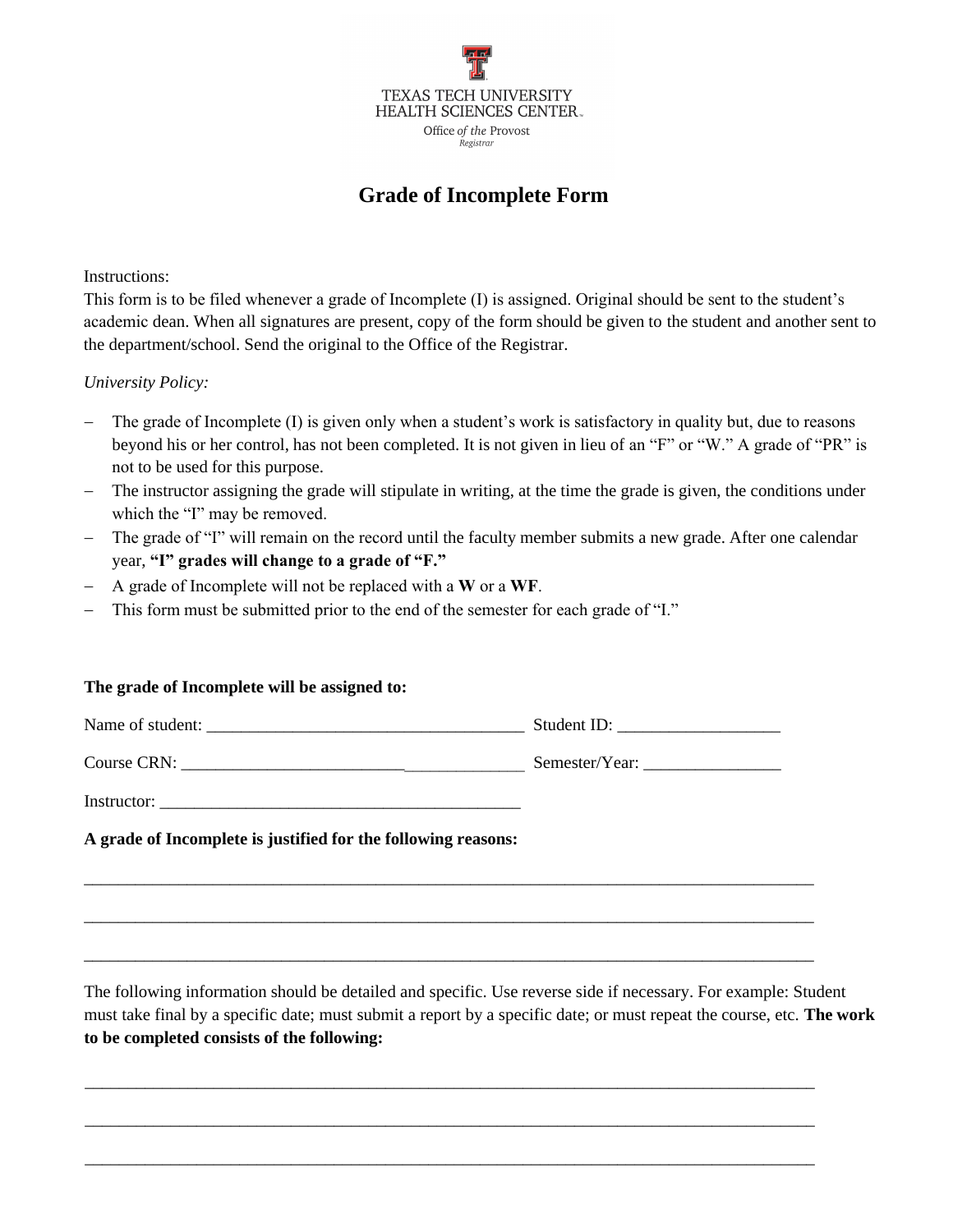

## **Grade of Incomplete Form**

Instructions:

This form is to be filed whenever a grade of Incomplete (I) is assigned. Original should be sent to the student's academic dean. When all signatures are present, copy of the form should be given to the student and another sent to the department/school. Send the original to the Office of the Registrar.

*University Policy:* 

- The grade of Incomplete (I) is given only when a student's work is satisfactory in quality but, due to reasons beyond his or her control, has not been completed. It is not given in lieu of an "F" or "W." A grade of "PR" is not to be used for this purpose.
- The instructor assigning the grade will stipulate in writing, at the time the grade is given, the conditions under which the "I" may be removed.
- The grade of "I" will remain on the record until the faculty member submits a new grade. After one calendar year, **"I" grades will change to a grade of "F."**
- A grade of Incomplete will not be replaced with a **W** or a **WF**.
- This form must be submitted prior to the end of the semester for each grade of "I."

## **The grade of Incomplete will be assigned to:**

|                                                               | Student ID: $\frac{1}{\sqrt{1-\frac{1}{2}} \cdot \frac{1}{2}}$ |
|---------------------------------------------------------------|----------------------------------------------------------------|
|                                                               |                                                                |
|                                                               |                                                                |
| A grade of Incomplete is justified for the following reasons: |                                                                |

\_\_\_\_\_\_\_\_\_\_\_\_\_\_\_\_\_\_\_\_\_\_\_\_\_\_\_\_\_\_\_\_\_\_\_\_\_\_\_\_\_\_\_\_\_\_\_\_\_\_\_\_\_\_\_\_\_\_\_\_\_\_\_\_\_\_\_\_\_\_\_\_\_\_\_\_\_\_\_\_\_\_\_\_\_

\_\_\_\_\_\_\_\_\_\_\_\_\_\_\_\_\_\_\_\_\_\_\_\_\_\_\_\_\_\_\_\_\_\_\_\_\_\_\_\_\_\_\_\_\_\_\_\_\_\_\_\_\_\_\_\_\_\_\_\_\_\_\_\_\_\_\_\_\_\_\_\_\_\_\_\_\_\_\_\_\_\_\_\_\_

\_\_\_\_\_\_\_\_\_\_\_\_\_\_\_\_\_\_\_\_\_\_\_\_\_\_\_\_\_\_\_\_\_\_\_\_\_\_\_\_\_\_\_\_\_\_\_\_\_\_\_\_\_\_\_\_\_\_\_\_\_\_\_\_\_\_\_\_\_\_\_\_\_\_\_\_\_\_\_\_\_\_\_\_\_

\_\_\_\_\_\_\_\_\_\_\_\_\_\_\_\_\_\_\_\_\_\_\_\_\_\_\_\_\_\_\_\_\_\_\_\_\_\_\_\_\_\_\_\_\_\_\_\_\_\_\_\_\_\_\_\_\_\_\_\_\_\_\_\_\_\_\_\_\_\_\_\_\_\_\_\_\_\_\_\_\_\_\_\_\_

\_\_\_\_\_\_\_\_\_\_\_\_\_\_\_\_\_\_\_\_\_\_\_\_\_\_\_\_\_\_\_\_\_\_\_\_\_\_\_\_\_\_\_\_\_\_\_\_\_\_\_\_\_\_\_\_\_\_\_\_\_\_\_\_\_\_\_\_\_\_\_\_\_\_\_\_\_\_\_\_\_\_\_\_\_

\_\_\_\_\_\_\_\_\_\_\_\_\_\_\_\_\_\_\_\_\_\_\_\_\_\_\_\_\_\_\_\_\_\_\_\_\_\_\_\_\_\_\_\_\_\_\_\_\_\_\_\_\_\_\_\_\_\_\_\_\_\_\_\_\_\_\_\_\_\_\_\_\_\_\_\_\_\_\_\_\_\_\_\_\_

The following information should be detailed and specific. Use reverse side if necessary. For example: Student must take final by a specific date; must submit a report by a specific date; or must repeat the course, etc. **The work to be completed consists of the following:**